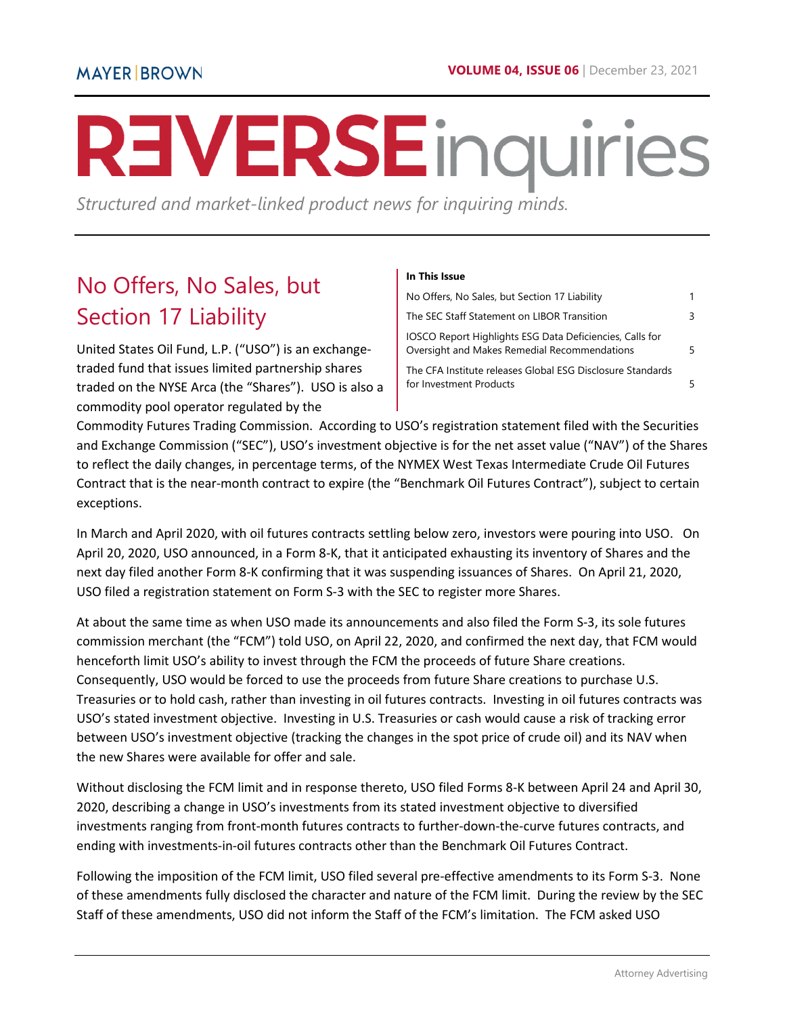# REVERSEinquiries

*Structured and market-linked product news for inquiring minds.* 

# <span id="page-0-0"></span>No Offers, No Sales, but Section 17 Liability

United States Oil Fund, L.P. ("USO") is an exchangetraded fund that issues limited partnership shares traded on the NYSE Arca (the "Shares"). USO is also a commodity pool operator regulated by the

#### **In This Issue**

| No Offers, No Sales, but Section 17 Liability                                                            |  |
|----------------------------------------------------------------------------------------------------------|--|
| The SEC Staff Statement on LIBOR Transition                                                              |  |
| IOSCO Report Highlights ESG Data Deficiencies, Calls for<br>Oversight and Makes Remedial Recommendations |  |
| The CFA Institute releases Global ESG Disclosure Standards<br>for Investment Products                    |  |

Commodity Futures Trading Commission. According to USO's registration statement filed with the Securities and Exchange Commission ("SEC"), USO's investment objective is for the net asset value ("NAV") of the Shares to reflect the daily changes, in percentage terms, of the NYMEX West Texas Intermediate Crude Oil Futures Contract that is the near-month contract to expire (the "Benchmark Oil Futures Contract"), subject to certain exceptions.

In March and April 2020, with oil futures contracts settling below zero, investors were pouring into USO. On April 20, 2020, USO announced, in a Form 8-K, that it anticipated exhausting its inventory of Shares and the next day filed another Form 8-K confirming that it was suspending issuances of Shares. On April 21, 2020, USO filed a registration statement on Form S-3 with the SEC to register more Shares.

At about the same time as when USO made its announcements and also filed the Form S-3, its sole futures commission merchant (the "FCM") told USO, on April 22, 2020, and confirmed the next day, that FCM would henceforth limit USO's ability to invest through the FCM the proceeds of future Share creations. Consequently, USO would be forced to use the proceeds from future Share creations to purchase U.S. Treasuries or to hold cash, rather than investing in oil futures contracts. Investing in oil futures contracts was USO's stated investment objective. Investing in U.S. Treasuries or cash would cause a risk of tracking error between USO's investment objective (tracking the changes in the spot price of crude oil) and its NAV when the new Shares were available for offer and sale.

Without disclosing the FCM limit and in response thereto, USO filed Forms 8-K between April 24 and April 30, 2020, describing a change in USO's investments from its stated investment objective to diversified investments ranging from front-month futures contracts to further-down-the-curve futures contracts, and ending with investments-in-oil futures contracts other than the Benchmark Oil Futures Contract.

Following the imposition of the FCM limit, USO filed several pre-effective amendments to its Form S-3. None of these amendments fully disclosed the character and nature of the FCM limit. During the review by the SEC Staff of these amendments, USO did not inform the Staff of the FCM's limitation. The FCM asked USO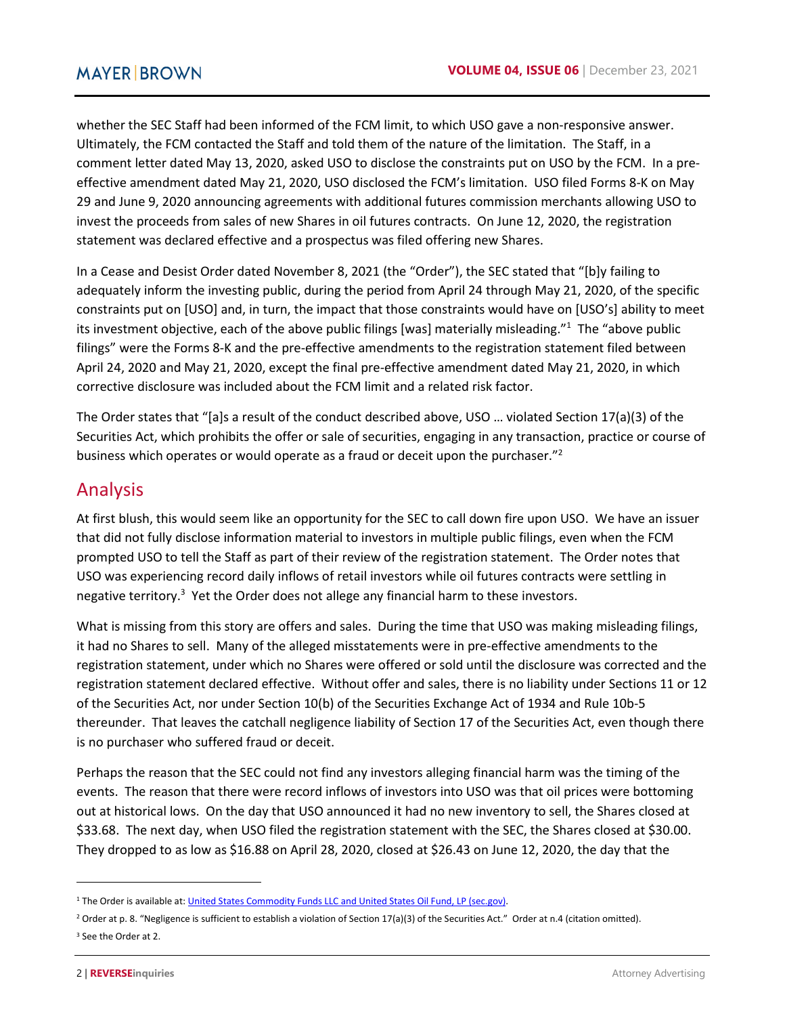whether the SEC Staff had been informed of the FCM limit, to which USO gave a non-responsive answer. Ultimately, the FCM contacted the Staff and told them of the nature of the limitation. The Staff, in a comment letter dated May 13, 2020, asked USO to disclose the constraints put on USO by the FCM. In a preeffective amendment dated May 21, 2020, USO disclosed the FCM's limitation. USO filed Forms 8-K on May 29 and June 9, 2020 announcing agreements with additional futures commission merchants allowing USO to invest the proceeds from sales of new Shares in oil futures contracts. On June 12, 2020, the registration statement was declared effective and a prospectus was filed offering new Shares.

In a Cease and Desist Order dated November 8, 2021 (the "Order"), the SEC stated that "[b]y failing to adequately inform the investing public, during the period from April 24 through May 21, 2020, of the specific constraints put on [USO] and, in turn, the impact that those constraints would have on [USO's] ability to meet its investment objective, each of the above public filings [was] materially misleading."<sup>1</sup> The "above public filings" were the Forms 8-K and the pre-effective amendments to the registration statement filed between April 24, 2020 and May 21, 2020, except the final pre-effective amendment dated May 21, 2020, in which corrective disclosure was included about the FCM limit and a related risk factor.

The Order states that "[a]s a result of the conduct described above, USO … violated Section 17(a)(3) of the Securities Act, which prohibits the offer or sale of securities, engaging in any transaction, practice or course of business which operates or would operate as a fraud or deceit upon the purchaser."<sup>2</sup>

### Analysis

At first blush, this would seem like an opportunity for the SEC to call down fire upon USO. We have an issuer that did not fully disclose information material to investors in multiple public filings, even when the FCM prompted USO to tell the Staff as part of their review of the registration statement. The Order notes that USO was experiencing record daily inflows of retail investors while oil futures contracts were settling in negative territory.<sup>3</sup> Yet the Order does not allege any financial harm to these investors.

What is missing from this story are offers and sales. During the time that USO was making misleading filings, it had no Shares to sell. Many of the alleged misstatements were in pre-effective amendments to the registration statement, under which no Shares were offered or sold until the disclosure was corrected and the registration statement declared effective. Without offer and sales, there is no liability under Sections 11 or 12 of the Securities Act, nor under Section 10(b) of the Securities Exchange Act of 1934 and Rule 10b-5 thereunder. That leaves the catchall negligence liability of Section 17 of the Securities Act, even though there is no purchaser who suffered fraud or deceit.

Perhaps the reason that the SEC could not find any investors alleging financial harm was the timing of the events. The reason that there were record inflows of investors into USO was that oil prices were bottoming out at historical lows. On the day that USO announced it had no new inventory to sell, the Shares closed at \$33.68. The next day, when USO filed the registration statement with the SEC, the Shares closed at \$30.00. They dropped to as low as \$16.88 on April 28, 2020, closed at \$26.43 on June 12, 2020, the day that the

l

<sup>&</sup>lt;sup>1</sup> The Order is available at: *United States Commodity Funds LLC and United States Oil Fund, LP (sec.gov)*.

<sup>&</sup>lt;sup>2</sup> Order at p. 8. "Negligence is sufficient to establish a violation of Section 17(a)(3) of the Securities Act." Order at n.4 (citation omitted). 3 See the Order at 2.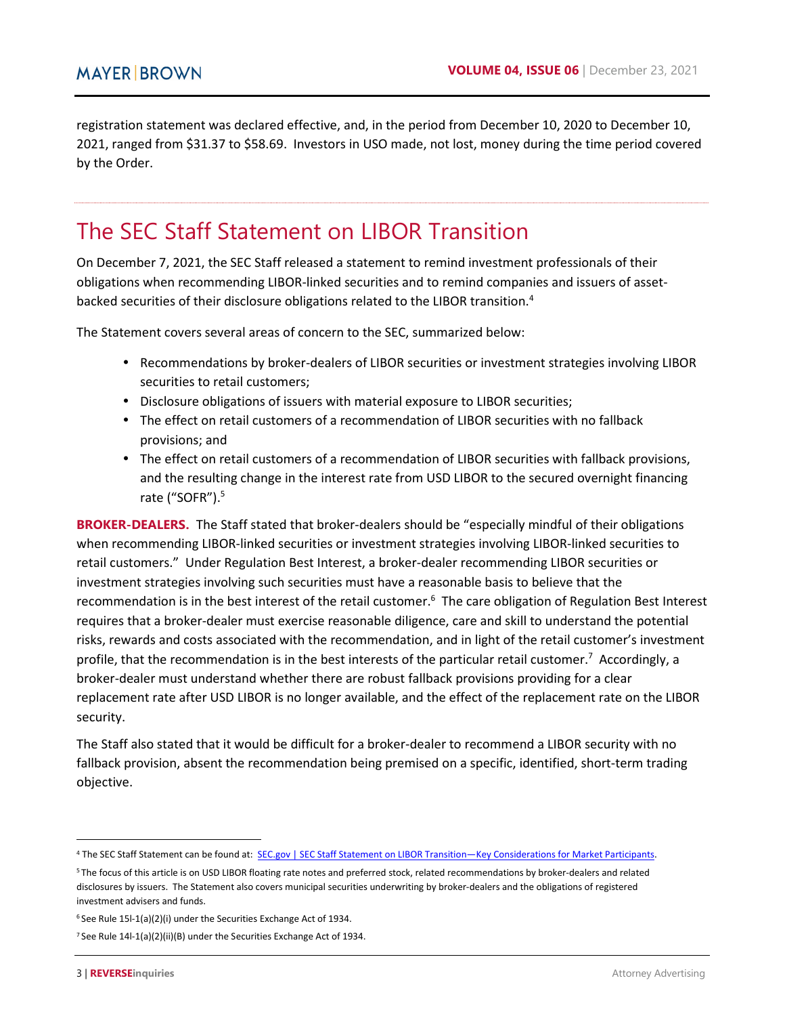registration statement was declared effective, and, in the period from December 10, 2020 to December 10, 2021, ranged from \$31.37 to \$58.69. Investors in USO made, not lost, money during the time period covered by the Order.

# <span id="page-2-0"></span>The SEC Staff Statement on LIBOR Transition

On December 7, 2021, the SEC Staff released a statement to remind investment professionals of their obligations when recommending LIBOR-linked securities and to remind companies and issuers of assetbacked securities of their disclosure obligations related to the LIBOR transition.<sup>4</sup>

The Statement covers several areas of concern to the SEC, summarized below:

- Recommendations by broker-dealers of LIBOR securities or investment strategies involving LIBOR securities to retail customers;
- Disclosure obligations of issuers with material exposure to LIBOR securities;
- The effect on retail customers of a recommendation of LIBOR securities with no fallback provisions; and
- The effect on retail customers of a recommendation of LIBOR securities with fallback provisions, and the resulting change in the interest rate from USD LIBOR to the secured overnight financing rate ("SOFR").<sup>5</sup>

**BROKER-DEALERS.** The Staff stated that broker-dealers should be "especially mindful of their obligations when recommending LIBOR-linked securities or investment strategies involving LIBOR-linked securities to retail customers." Under Regulation Best Interest, a broker-dealer recommending LIBOR securities or investment strategies involving such securities must have a reasonable basis to believe that the recommendation is in the best interest of the retail customer.<sup>6</sup> The care obligation of Regulation Best Interest requires that a broker-dealer must exercise reasonable diligence, care and skill to understand the potential risks, rewards and costs associated with the recommendation, and in light of the retail customer's investment profile, that the recommendation is in the best interests of the particular retail customer.<sup>7</sup> Accordingly, a broker-dealer must understand whether there are robust fallback provisions providing for a clear replacement rate after USD LIBOR is no longer available, and the effect of the replacement rate on the LIBOR security.

The Staff also stated that it would be difficult for a broker-dealer to recommend a LIBOR security with no fallback provision, absent the recommendation being premised on a specific, identified, short-term trading objective.

l

<sup>&</sup>lt;sup>4</sup> The SEC Staff Statement can be found at: SEC.gov | SEC Staff Statement on LIBOR Transition—Key Considerations for Market Participants.

<sup>5</sup>The focus of this article is on USD LIBOR floating rate notes and preferred stock, related recommendations by broker-dealers and related disclosures by issuers. The Statement also covers municipal securities underwriting by broker-dealers and the obligations of registered investment advisers and funds.

 $6$  See Rule 15l-1(a)(2)(i) under the Securities Exchange Act of 1934.

<sup>7</sup> See Rule 14l-1(a)(2)(ii)(B) under the Securities Exchange Act of 1934.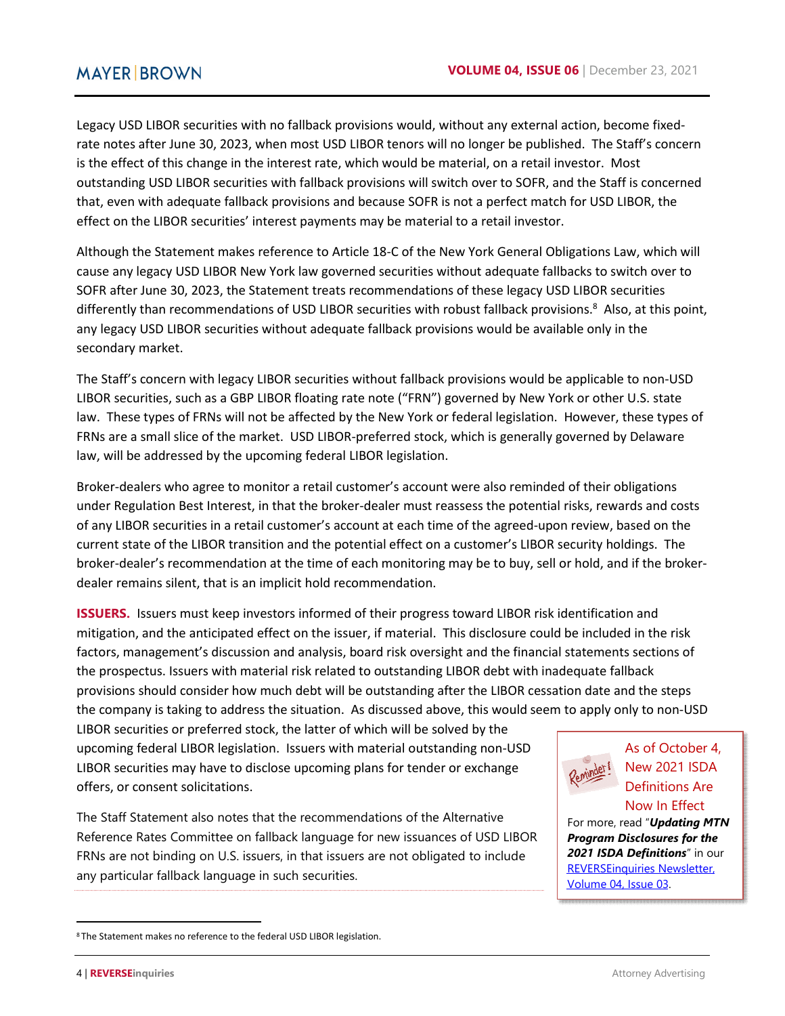Legacy USD LIBOR securities with no fallback provisions would, without any external action, become fixedrate notes after June 30, 2023, when most USD LIBOR tenors will no longer be published. The Staff's concern is the effect of this change in the interest rate, which would be material, on a retail investor. Most outstanding USD LIBOR securities with fallback provisions will switch over to SOFR, and the Staff is concerned that, even with adequate fallback provisions and because SOFR is not a perfect match for USD LIBOR, the effect on the LIBOR securities' interest payments may be material to a retail investor.

Although the Statement makes reference to Article 18-C of the New York General Obligations Law, which will cause any legacy USD LIBOR New York law governed securities without adequate fallbacks to switch over to SOFR after June 30, 2023, the Statement treats recommendations of these legacy USD LIBOR securities differently than recommendations of USD LIBOR securities with robust fallback provisions.<sup>8</sup> Also, at this point, any legacy USD LIBOR securities without adequate fallback provisions would be available only in the secondary market.

The Staff's concern with legacy LIBOR securities without fallback provisions would be applicable to non-USD LIBOR securities, such as a GBP LIBOR floating rate note ("FRN") governed by New York or other U.S. state law. These types of FRNs will not be affected by the New York or federal legislation. However, these types of FRNs are a small slice of the market. USD LIBOR-preferred stock, which is generally governed by Delaware law, will be addressed by the upcoming federal LIBOR legislation.

Broker-dealers who agree to monitor a retail customer's account were also reminded of their obligations under Regulation Best Interest, in that the broker-dealer must reassess the potential risks, rewards and costs of any LIBOR securities in a retail customer's account at each time of the agreed-upon review, based on the current state of the LIBOR transition and the potential effect on a customer's LIBOR security holdings. The broker-dealer's recommendation at the time of each monitoring may be to buy, sell or hold, and if the brokerdealer remains silent, that is an implicit hold recommendation.

**ISSUERS.** Issuers must keep investors informed of their progress toward LIBOR risk identification and mitigation, and the anticipated effect on the issuer, if material. This disclosure could be included in the risk factors, management's discussion and analysis, board risk oversight and the financial statements sections of the prospectus. Issuers with material risk related to outstanding LIBOR debt with inadequate fallback provisions should consider how much debt will be outstanding after the LIBOR cessation date and the steps the company is taking to address the situation. As discussed above, this would seem to apply only to non-USD

LIBOR securities or preferred stock, the latter of which will be solved by the upcoming federal LIBOR legislation. Issuers with material outstanding non-USD LIBOR securities may have to disclose upcoming plans for tender or exchange offers, or consent solicitations.

The Staff Statement also notes that the recommendations of the Alternative Reference Rates Committee on fallback language for new issuances of USD LIBOR FRNs are not binding on U.S. issuers, in that issuers are not obligated to include any particular fallback language in such securities.



As of October 4, New 2021 ISDA Definitions Are Now In Effect

For more, read "*Updating MTN Program Disclosures for the 2021 ISDA Definitions*" in our [REVERSEinquiries Newsletter,](https://www.mayerbrown.com/-/media/files/perspectives-events/publications/2021/05/reverseinquiries-newsletter-43.pdf)  [Volume 04, Issue 03.](https://www.mayerbrown.com/-/media/files/perspectives-events/publications/2021/05/reverseinquiries-newsletter-43.pdf) 

 $\overline{a}$ 

<sup>8</sup>The Statement makes no reference to the federal USD LIBOR legislation.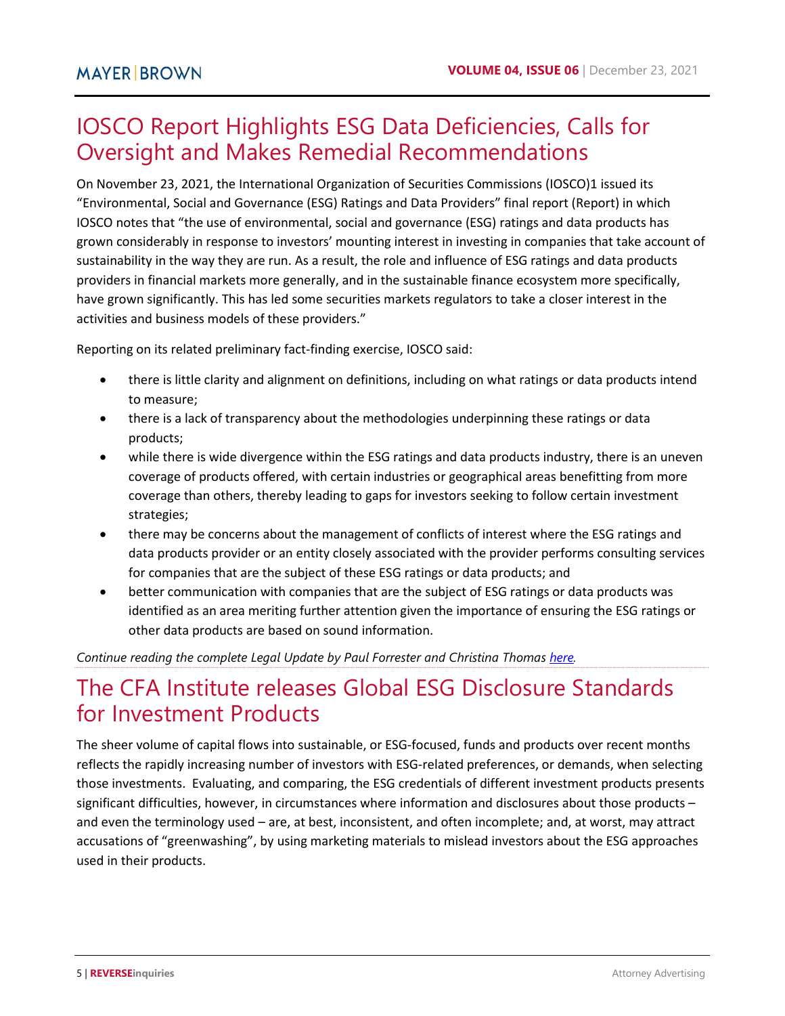# <span id="page-4-0"></span>IOSCO Report Highlights ESG Data Deficiencies, Calls for Oversight and Makes Remedial Recommendations

On November 23, 2021, the International Organization of Securities Commissions (IOSCO)1 issued its "Environmental, Social and Governance (ESG) Ratings and Data Providers" final report (Report) in which IOSCO notes that "the use of environmental, social and governance (ESG) ratings and data products has grown considerably in response to investors' mounting interest in investing in companies that take account of sustainability in the way they are run. As a result, the role and influence of ESG ratings and data products providers in financial markets more generally, and in the sustainable finance ecosystem more specifically, have grown significantly. This has led some securities markets regulators to take a closer interest in the activities and business models of these providers."

Reporting on its related preliminary fact-finding exercise, IOSCO said:

- there is little clarity and alignment on definitions, including on what ratings or data products intend to measure;
- there is a lack of transparency about the methodologies underpinning these ratings or data products;
- while there is wide divergence within the ESG ratings and data products industry, there is an uneven coverage of products offered, with certain industries or geographical areas benefitting from more coverage than others, thereby leading to gaps for investors seeking to follow certain investment strategies;
- there may be concerns about the management of conflicts of interest where the ESG ratings and data products provider or an entity closely associated with the provider performs consulting services for companies that are the subject of these ESG ratings or data products; and
- better communication with companies that are the subject of ESG ratings or data products was identified as an area meriting further attention given the importance of ensuring the ESG ratings or other data products are based on sound information.

*Continue reading the complete Legal Update by Paul Forrester and Christina Thomas [here.](https://www.mayerbrown.com/en/perspectives-events/publications/2021/12/iosco-report-highlights-esg-data-deficiencies-calls-for-oversight-and-makes-remedial-recommendations)* 

# <span id="page-4-1"></span>The CFA Institute releases Global ESG Disclosure Standards for Investment Products

The sheer volume of capital flows into sustainable, or ESG-focused, funds and products over recent months reflects the rapidly increasing number of investors with ESG-related preferences, or demands, when selecting those investments. Evaluating, and comparing, the ESG credentials of different investment products presents significant difficulties, however, in circumstances where information and disclosures about those products – and even the terminology used – are, at best, inconsistent, and often incomplete; and, at worst, may attract accusations of "greenwashing", by using marketing materials to mislead investors about the ESG approaches used in their products.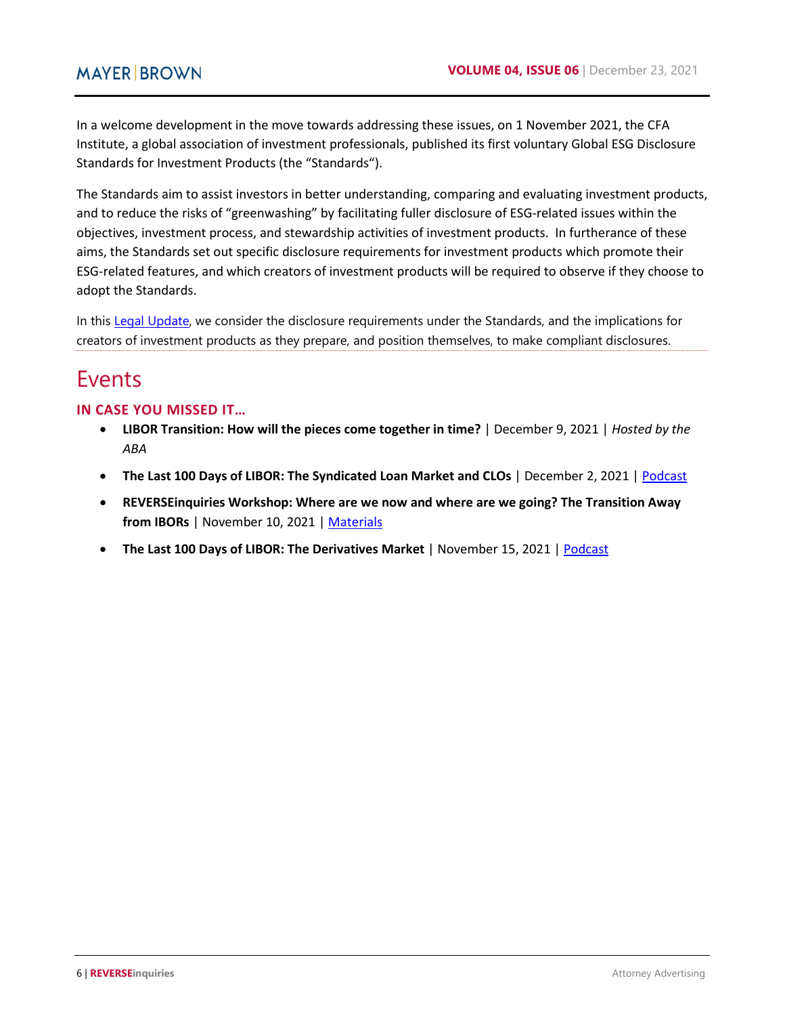In a welcome development in the move towards addressing these issues, on 1 November 2021, the CFA Institute, a global association of investment professionals, published its first voluntary Global ESG Disclosure Standards for Investment Products (the "Standards").

The Standards aim to assist investors in better understanding, comparing and evaluating investment products, and to reduce the risks of "greenwashing" by facilitating fuller disclosure of ESG-related issues within the objectives, investment process, and stewardship activities of investment products. In furtherance of these aims, the Standards set out specific disclosure requirements for investment products which promote their ESG-related features, and which creators of investment products will be required to observe if they choose to adopt the Standards.

In this [Legal Update,](https://10hundred.mayerbrown.com/the-cfa-institute-releases-global-esg-disclosure-standards-for-investment-products/) we consider the disclosure requirements under the Standards, and the implications for creators of investment products as they prepare, and position themselves, to make compliant disclosures.

## Events

#### **IN CASE YOU MISSED IT…**

- **LIBOR Transition: How will the pieces come together in time?** | December 9, 2021 | *Hosted by the ABA*
- **The Last 100 Days of LIBOR: The Syndicated Loan Market and CLOs** | December 2, 2021 | [Podcast](https://www.mayerbrown.com/en/perspectives-events/podcasts/2021/12/the-last-100-days-of-libor-episode-6--the-syndicated-loan-market-and-clos)
- **REVERSEinquiries Workshop: Where are we now and where are we going? The Transition Away from IBORs** | November 10, 2021 | [Materials](https://www.mayerbrown.com/-/media/files/perspectives-events/events/2021/11/where-are-we-now-and-where-are-we-going.pdf)
- **The Last 100 Days of LIBOR: The Derivatives Market** | November 15, 2021 [| Podcast](https://www.mayerbrown.com/en/perspectives-events/podcasts/2021/11/the-last-100-days-of-libor-episode-5-the-derivatives-market)